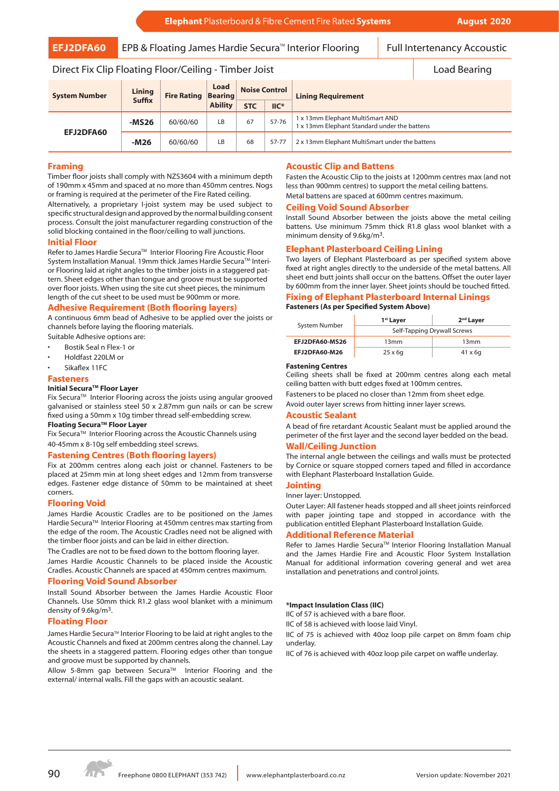**EFJ2DFA60** EPB & Floating James Hardie Secura<sup>™</sup> Interior Flooring Full Intertenancy Accoustic

# Direct Fix Clip Floating Floor/Ceiling - Timber Joist Load Bearing Load Bearing

| <b>System Number</b> | Lining<br><b>Suffix</b> | <b>Fire Rating Bearing</b> | Load<br><b>Ability</b> | <b>Noise Control</b> |                  | <b>Lining Requirement</b>                                                        |
|----------------------|-------------------------|----------------------------|------------------------|----------------------|------------------|----------------------------------------------------------------------------------|
|                      |                         |                            |                        | <b>STC</b>           | $\mathsf{IIC}^*$ |                                                                                  |
| EFJ2DFA60            | $-MS26$                 | 60/60/60                   | LB.                    | 67                   | $57 - 76$        | 1 x 13mm Elephant MultiSmart AND<br>1 x 13mm Elephant Standard under the battens |
|                      | $-M26$                  | 60/60/60                   | LB.                    | 68                   | 57-77            | 2 x 13mm Elephant MultiSmart under the battens                                   |

## **Framing**

Timber floor joists shall comply with NZS3604 with a minimum depth of 190mm x 45mm and spaced at no more than 450mm centres. Nogs or framing is required at the perimeter of the Fire Rated ceiling.

Alternatively, a proprietary I-joist system may be used subject to specific structural design and approved by the normal building consent process. Consult the joist manufacturer regarding construction of the solid blocking contained in the floor/ceiling to wall junctions.

## **Initial Floor**

Refer to James Hardie Secura™ Interior Flooring Fire Acoustic Floor System Installation Manual. 19mm thick James Hardie Secura™ Interior Flooring laid at right angles to the timber joists in a staggered pattern. Sheet edges other than tongue and groove must be supported over floor joists. When using the site cut sheet pieces, the minimum length of the cut sheet to be used must be 900mm or more.

# **Adhesive Requirement (Both flooring layers)**

A continuous 6mm bead of Adhesive to be applied over the joists or channels before laying the flooring materials.

Suitable Adhesive options are:

- Bostik Seal n Flex-1 or
- Holdfast 220LM or
- Sikaflex 11FC

#### **Fasteners**

## **Initial SecuraTM Floor Layer**

Fix Secura™ Interior Flooring across the joists using angular grooved galvanised or stainless steel 50 x 2.87mm gun nails or can be screw fixed using a 50mm x 10g timber thread self-embedding screw.

# **Floating SecuraTM Floor Layer**

Fix Secura™ Interior Flooring across the Acoustic Channels using 40-45mm x 8-10g self embedding steel screws.

## **Fastening Centres (Both flooring layers)**

Fix at 200mm centres along each joist or channel. Fasteners to be placed at 25mm min at long sheet edges and 12mm from transverse edges. Fastener edge distance of 50mm to be maintained at sheet corners.

## **Flooring Void**

James Hardie Acoustic Cradles are to be positioned on the James Hardie Secura<sup>™</sup> Interior Flooring at 450mm centres max starting from the edge of the room. The Acoustic Cradles need not be aligned with the timber floor joists and can be laid in either direction.

The Cradles are not to be fixed down to the bottom flooring layer. James Hardie Acoustic Channels to be placed inside the Acoustic Cradles. Acoustic Channels are spaced at 450mm centres maximum.

#### **Flooring Void Sound Absorber**

Install Sound Absorber between the James Hardie Acoustic Floor Channels. Use 50mm thick R1.2 glass wool blanket with a minimum density of 9.6kg/m3.

#### **Floating Floor**

James Hardie Secura™ Interior Flooring to be laid at right angles to the Acoustic Channels and fixed at 200mm centres along the channel. Lay the sheets in a staggered pattern. Flooring edges other than tongue and groove must be supported by channels.

Allow 5-8mm gap between Secura<sup>™</sup> Interior Flooring and the external/ internal walls. Fill the gaps with an acoustic sealant.

## **Acoustic Clip and Battens**

Fasten the Acoustic Clip to the joists at 1200mm centres max (and not less than 900mm centres) to support the metal ceiling battens. Metal battens are spaced at 600mm centres maximum.

## **Ceiling Void Sound Absorber**

Install Sound Absorber between the joists above the metal ceiling battens. Use minimum 75mm thick R1.8 glass wool blanket with a minimum density of 9.6kg/m3.

## **Elephant Plasterboard Ceiling Lining**

Two layers of Elephant Plasterboard as per specified system above fixed at right angles directly to the underside of the metal battens. All sheet end butt joints shall occur on the battens. Offset the outer layer by 600mm from the inner layer. Sheet joints should be touched fitted.

**Fixing of Elephant Plasterboard Internal Linings**

# **Fasteners (As per Specified System Above)**

| System Number  | 1 <sup>st</sup> Layer       | 2 <sup>nd</sup> Layer |  |  |  |
|----------------|-----------------------------|-----------------------|--|--|--|
|                | Self-Tapping Drywall Screws |                       |  |  |  |
| EFJ2DFA60-MS26 | 13mm                        | 13mm                  |  |  |  |
| EFJ2DFA60-M26  | $25 \times 6q$              | $41 \times 6q$        |  |  |  |

#### **Fastening Centres**

Ceiling sheets shall be fixed at 200mm centres along each metal ceiling batten with butt edges fixed at 100mm centres.

Fasteners to be placed no closer than 12mm from sheet edge.

Avoid outer layer screws from hitting inner layer screws.

#### **Acoustic Sealant**

A bead of fire retardant Acoustic Sealant must be applied around the perimeter of the first layer and the second layer bedded on the bead.

# **Wall/Ceiling Junction**

The internal angle between the ceilings and walls must be protected by Cornice or square stopped corners taped and filled in accordance with Elephant Plasterboard Installation Guide.

#### **Jointing**

Inner layer: Unstopped.

Outer Layer: All fastener heads stopped and all sheet joints reinforced with paper jointing tape and stopped in accordance with the publication entitled Elephant Plasterboard Installation Guide.

#### **Additional Reference Material**

Refer to James Hardie Secura™ Interior Flooring Installation Manual and the James Hardie Fire and Acoustic Floor System Installation Manual for additional information covering general and wet area installation and penetrations and control joints.

#### **\*Impact Insulation Class (IIC)**

IIC of 57 is achieved with a bare floor.

IIC of 58 is achieved with loose laid Vinyl.

IIC of 75 is achieved with 40oz loop pile carpet on 8mm foam chip underlay.

IIC of 76 is achieved with 40oz loop pile carpet on waffle underlay.